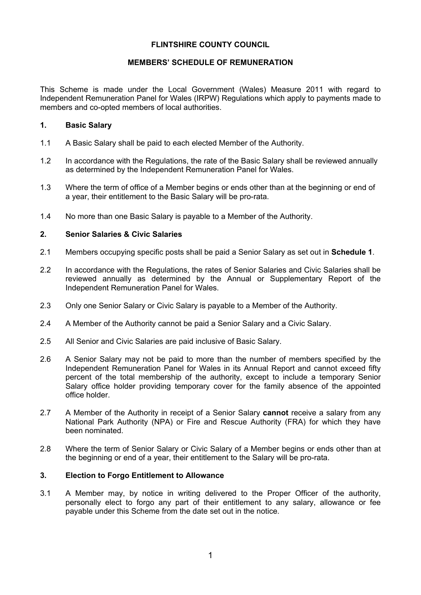## **FLINTSHIRE COUNTY COUNCIL**

#### **MEMBERS' SCHEDULE OF REMUNERATION**

This Scheme is made under the Local Government (Wales) Measure 2011 with regard to Independent Remuneration Panel for Wales (IRPW) Regulations which apply to payments made to members and co-opted members of local authorities.

#### **1. Basic Salary**

- 1.1 A Basic Salary shall be paid to each elected Member of the Authority.
- 1.2 In accordance with the Regulations, the rate of the Basic Salary shall be reviewed annually as determined by the Independent Remuneration Panel for Wales.
- 1.3 Where the term of office of a Member begins or ends other than at the beginning or end of a year, their entitlement to the Basic Salary will be pro-rata.
- 1.4 No more than one Basic Salary is payable to a Member of the Authority.

## **2. Senior Salaries & Civic Salaries**

- 2.1 Members occupying specific posts shall be paid a Senior Salary as set out in **Schedule 1**.
- 2.2 In accordance with the Regulations, the rates of Senior Salaries and Civic Salaries shall be reviewed annually as determined by the Annual or Supplementary Report of the Independent Remuneration Panel for Wales.
- 2.3 Only one Senior Salary or Civic Salary is payable to a Member of the Authority.
- 2.4 A Member of the Authority cannot be paid a Senior Salary and a Civic Salary.
- 2.5 All Senior and Civic Salaries are paid inclusive of Basic Salary.
- 2.6 A Senior Salary may not be paid to more than the number of members specified by the Independent Remuneration Panel for Wales in its Annual Report and cannot exceed fifty percent of the total membership of the authority, except to include a temporary Senior Salary office holder providing temporary cover for the family absence of the appointed office holder.
- 2.7 A Member of the Authority in receipt of a Senior Salary **cannot** receive a salary from any National Park Authority (NPA) or Fire and Rescue Authority (FRA) for which they have been nominated.
- 2.8 Where the term of Senior Salary or Civic Salary of a Member begins or ends other than at the beginning or end of a year, their entitlement to the Salary will be pro-rata.

## **3. Election to Forgo Entitlement to Allowance**

3.1 A Member may, by notice in writing delivered to the Proper Officer of the authority, personally elect to forgo any part of their entitlement to any salary, allowance or fee payable under this Scheme from the date set out in the notice.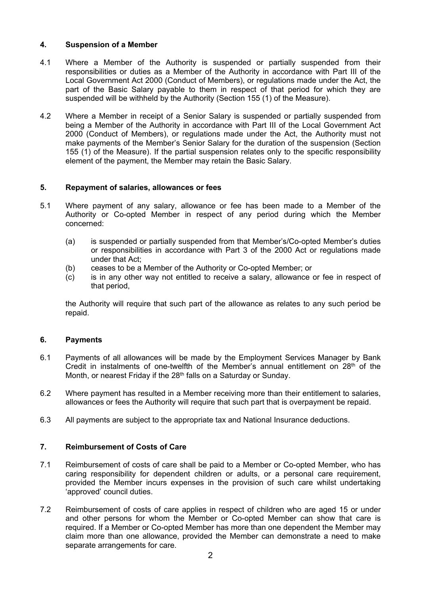## **4. Suspension of a Member**

- 4.1 Where a Member of the Authority is suspended or partially suspended from their responsibilities or duties as a Member of the Authority in accordance with Part III of the Local Government Act 2000 (Conduct of Members), or regulations made under the Act, the part of the Basic Salary payable to them in respect of that period for which they are suspended will be withheld by the Authority (Section 155 (1) of the Measure).
- 4.2 Where a Member in receipt of a Senior Salary is suspended or partially suspended from being a Member of the Authority in accordance with Part III of the Local Government Act 2000 (Conduct of Members), or regulations made under the Act, the Authority must not make payments of the Member's Senior Salary for the duration of the suspension (Section 155 (1) of the Measure). If the partial suspension relates only to the specific responsibility element of the payment, the Member may retain the Basic Salary.

## **5. Repayment of salaries, allowances or fees**

- 5.1 Where payment of any salary, allowance or fee has been made to a Member of the Authority or Co-opted Member in respect of any period during which the Member concerned:
	- (a) is suspended or partially suspended from that Member's/Co-opted Member's duties or responsibilities in accordance with Part 3 of the 2000 Act or regulations made under that Act;
	- (b) ceases to be a Member of the Authority or Co-opted Member; or
	- (c) is in any other way not entitled to receive a salary, allowance or fee in respect of that period,

the Authority will require that such part of the allowance as relates to any such period be repaid.

## **6. Payments**

- 6.1 Payments of all allowances will be made by the Employment Services Manager by Bank Credit in instalments of one-twelfth of the Member's annual entitlement on  $28<sup>th</sup>$  of the Month, or nearest Friday if the 28<sup>th</sup> falls on a Saturday or Sunday.
- 6.2 Where payment has resulted in a Member receiving more than their entitlement to salaries, allowances or fees the Authority will require that such part that is overpayment be repaid.
- 6.3 All payments are subject to the appropriate tax and National Insurance deductions.

# **7. Reimbursement of Costs of Care**

- 7.1 Reimbursement of costs of care shall be paid to a Member or Co-opted Member, who has caring responsibility for dependent children or adults, or a personal care requirement, provided the Member incurs expenses in the provision of such care whilst undertaking 'approved' council duties.
- 7.2 Reimbursement of costs of care applies in respect of children who are aged 15 or under and other persons for whom the Member or Co-opted Member can show that care is required. If a Member or Co-opted Member has more than one dependent the Member may claim more than one allowance, provided the Member can demonstrate a need to make separate arrangements for care.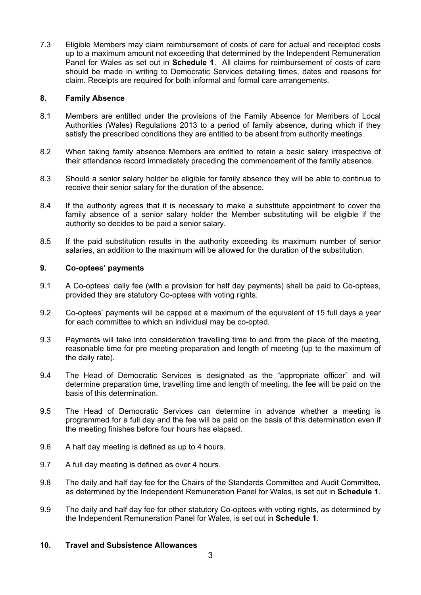7.3 Eligible Members may claim reimbursement of costs of care for actual and receipted costs up to a maximum amount not exceeding that determined by the Independent Remuneration Panel for Wales as set out in **Schedule 1**. All claims for reimbursement of costs of care should be made in writing to Democratic Services detailing times, dates and reasons for claim. Receipts are required for both informal and formal care arrangements.

## **8. Family Absence**

- 8.1 Members are entitled under the provisions of the Family Absence for Members of Local Authorities (Wales) Regulations 2013 to a period of family absence, during which if they satisfy the prescribed conditions they are entitled to be absent from authority meetings.
- 8.2 When taking family absence Members are entitled to retain a basic salary irrespective of their attendance record immediately preceding the commencement of the family absence.
- 8.3 Should a senior salary holder be eligible for family absence they will be able to continue to receive their senior salary for the duration of the absence.
- 8.4 If the authority agrees that it is necessary to make a substitute appointment to cover the family absence of a senior salary holder the Member substituting will be eligible if the authority so decides to be paid a senior salary.
- 8.5 If the paid substitution results in the authority exceeding its maximum number of senior salaries, an addition to the maximum will be allowed for the duration of the substitution.

#### **9. Co-optees' payments**

- 9.1 A Co-optees' daily fee (with a provision for half day payments) shall be paid to Co-optees, provided they are statutory Co-optees with voting rights.
- 9.2 Co-optees' payments will be capped at a maximum of the equivalent of 15 full days a year for each committee to which an individual may be co-opted*.*
- 9.3 Payments will take into consideration travelling time to and from the place of the meeting, reasonable time for pre meeting preparation and length of meeting (up to the maximum of the daily rate).
- 9.4 The Head of Democratic Services is designated as the "appropriate officer" and will determine preparation time, travelling time and length of meeting, the fee will be paid on the basis of this determination.
- 9.5 The Head of Democratic Services can determine in advance whether a meeting is programmed for a full day and the fee will be paid on the basis of this determination even if the meeting finishes before four hours has elapsed.
- 9.6 A half day meeting is defined as up to 4 hours.
- 9.7 A full day meeting is defined as over 4 hours.
- 9.8 The daily and half day fee for the Chairs of the Standards Committee and Audit Committee, as determined by the Independent Remuneration Panel for Wales, is set out in **Schedule 1**.
- 9.9 The daily and half day fee for other statutory Co-optees with voting rights, as determined by the Independent Remuneration Panel for Wales, is set out in **Schedule 1**.

#### **10. Travel and Subsistence Allowances**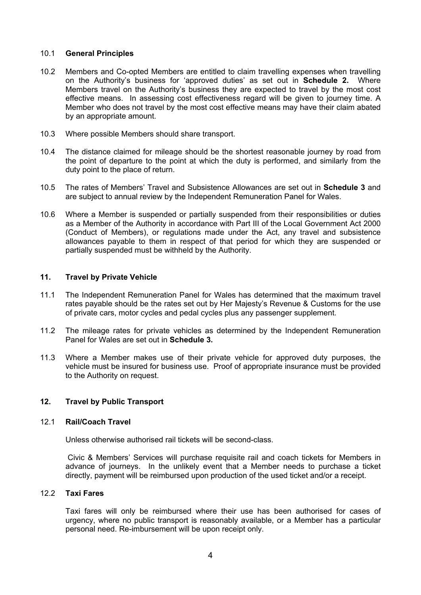#### 10.1 **General Principles**

- 10.2 Members and Co-opted Members are entitled to claim travelling expenses when travelling on the Authority's business for 'approved duties' as set out in **Schedule 2.** Where Members travel on the Authority's business they are expected to travel by the most cost effective means. In assessing cost effectiveness regard will be given to journey time. A Member who does not travel by the most cost effective means may have their claim abated by an appropriate amount.
- 10.3 Where possible Members should share transport.
- 10.4 The distance claimed for mileage should be the shortest reasonable journey by road from the point of departure to the point at which the duty is performed, and similarly from the duty point to the place of return.
- 10.5 The rates of Members' Travel and Subsistence Allowances are set out in **Schedule 3** and are subject to annual review by the Independent Remuneration Panel for Wales.
- 10.6 Where a Member is suspended or partially suspended from their responsibilities or duties as a Member of the Authority in accordance with Part III of the Local Government Act 2000 (Conduct of Members), or regulations made under the Act, any travel and subsistence allowances payable to them in respect of that period for which they are suspended or partially suspended must be withheld by the Authority.

#### **11. Travel by Private Vehicle**

- 11.1 The Independent Remuneration Panel for Wales has determined that the maximum travel rates payable should be the rates set out by Her Majesty's Revenue & Customs for the use of private cars, motor cycles and pedal cycles plus any passenger supplement.
- 11.2 The mileage rates for private vehicles as determined by the Independent Remuneration Panel for Wales are set out in **Schedule 3.**
- 11.3 Where a Member makes use of their private vehicle for approved duty purposes, the vehicle must be insured for business use. Proof of appropriate insurance must be provided to the Authority on request.

## **12. Travel by Public Transport**

#### 12.1 **Rail/Coach Travel**

Unless otherwise authorised rail tickets will be second-class.

Civic & Members' Services will purchase requisite rail and coach tickets for Members in advance of journeys. In the unlikely event that a Member needs to purchase a ticket directly, payment will be reimbursed upon production of the used ticket and/or a receipt.

## 12.2 **Taxi Fares**

Taxi fares will only be reimbursed where their use has been authorised for cases of urgency, where no public transport is reasonably available, or a Member has a particular personal need. Re-imbursement will be upon receipt only.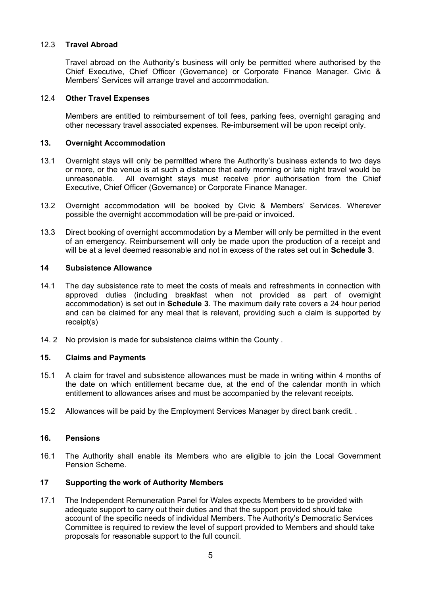## 12.3 **Travel Abroad**

Travel abroad on the Authority's business will only be permitted where authorised by the Chief Executive, Chief Officer (Governance) or Corporate Finance Manager. Civic & Members' Services will arrange travel and accommodation.

## 12.4 **Other Travel Expenses**

Members are entitled to reimbursement of toll fees, parking fees, overnight garaging and other necessary travel associated expenses. Re-imbursement will be upon receipt only.

### **13. Overnight Accommodation**

- 13.1 Overnight stays will only be permitted where the Authority's business extends to two days or more, or the venue is at such a distance that early morning or late night travel would be unreasonable. All overnight stays must receive prior authorisation from the Chief Executive, Chief Officer (Governance) or Corporate Finance Manager.
- 13.2 Overnight accommodation will be booked by Civic & Members' Services. Wherever possible the overnight accommodation will be pre-paid or invoiced.
- 13.3 Direct booking of overnight accommodation by a Member will only be permitted in the event of an emergency. Reimbursement will only be made upon the production of a receipt and will be at a level deemed reasonable and not in excess of the rates set out in **Schedule 3**.

#### **14 Subsistence Allowance**

- 14.1 The day subsistence rate to meet the costs of meals and refreshments in connection with approved duties (including breakfast when not provided as part of overnight accommodation) is set out in **Schedule 3**. The maximum daily rate covers a 24 hour period and can be claimed for any meal that is relevant, providing such a claim is supported by receipt(s)
- 14. 2 No provision is made for subsistence claims within the County .

#### **15. Claims and Payments**

- 15.1 A claim for travel and subsistence allowances must be made in writing within 4 months of the date on which entitlement became due, at the end of the calendar month in which entitlement to allowances arises and must be accompanied by the relevant receipts.
- 15.2 Allowances will be paid by the Employment Services Manager by direct bank credit. *.*

#### **16. Pensions**

16.1 The Authority shall enable its Members who are eligible to join the Local Government Pension Scheme.

## **17 Supporting the work of Authority Members**

17.1 The Independent Remuneration Panel for Wales expects Members to be provided with adequate support to carry out their duties and that the support provided should take account of the specific needs of individual Members. The Authority's Democratic Services Committee is required to review the level of support provided to Members and should take proposals for reasonable support to the full council.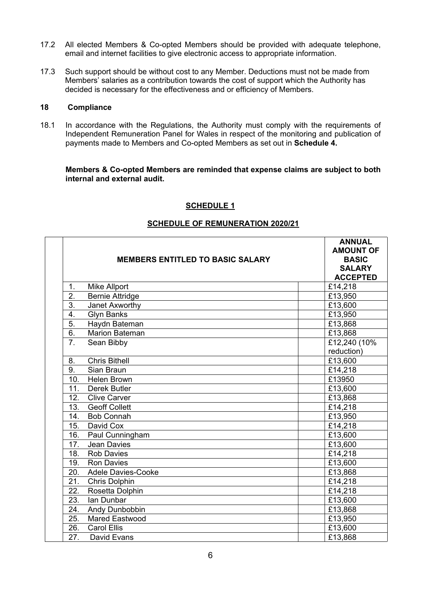- 17.2 All elected Members & Co-opted Members should be provided with adequate telephone, email and internet facilities to give electronic access to appropriate information.
- 17.3 Such support should be without cost to any Member. Deductions must not be made from Members' salaries as a contribution towards the cost of support which the Authority has decided is necessary for the effectiveness and or efficiency of Members.

#### **18 Compliance**

18.1 In accordance with the Regulations, the Authority must comply with the requirements of Independent Remuneration Panel for Wales in respect of the monitoring and publication of payments made to Members and Co-opted Members as set out in **Schedule 4.**

### **Members & Co-opted Members are reminded that expense claims are subject to both internal and external audit.**

## **SCHEDULE 1**

# **SCHEDULE OF REMUNERATION 2020/21**

|                  | <b>MEMBERS ENTITLED TO BASIC SALARY</b> | <b>ANNUAL</b><br><b>AMOUNT OF</b><br><b>BASIC</b><br><b>SALARY</b><br><b>ACCEPTED</b> |
|------------------|-----------------------------------------|---------------------------------------------------------------------------------------|
| 1.               | <b>Mike Allport</b>                     | £14,218                                                                               |
| 2.               | <b>Bernie Attridge</b>                  | £13,950                                                                               |
| $\overline{3}$ . | Janet Axworthy                          | £13,600                                                                               |
| 4.               | <b>Glyn Banks</b>                       | £13,950                                                                               |
| $\overline{5}$ . | Haydn Bateman                           | £13,868                                                                               |
| 6.               | <b>Marion Bateman</b>                   | £13,868                                                                               |
| 7 <sub>1</sub>   | Sean Bibby                              | £12,240 (10%                                                                          |
|                  |                                         | reduction)                                                                            |
| 8.               | <b>Chris Bithell</b>                    | £13,600                                                                               |
| 9.               | Sian Braun                              | £14,218                                                                               |
| 10.              | <b>Helen Brown</b>                      | £13950                                                                                |
| 11.              | Derek Butler                            | £13,600                                                                               |
| 12.              | <b>Clive Carver</b>                     | £13,868                                                                               |
| 13.              | <b>Geoff Collett</b>                    | £14,218                                                                               |
| 14.              | <b>Bob Connah</b>                       | £13,950                                                                               |
| 15.              | David Cox                               | £14,218                                                                               |
| 16.              | Paul Cunningham                         | £13,600                                                                               |
| 17.              | <b>Jean Davies</b>                      | £13,600                                                                               |
| 18.              | <b>Rob Davies</b>                       | £14,218                                                                               |
| 19.              | <b>Ron Davies</b>                       | £13,600                                                                               |
| 20.              | <b>Adele Davies-Cooke</b>               | £13,868                                                                               |
| 21.              | <b>Chris Dolphin</b>                    | £14,218                                                                               |
| 22.              | Rosetta Dolphin                         | £14,218                                                                               |
| 23.              | Ian Dunbar                              | £13,600                                                                               |
| 24.              | Andy Dunbobbin                          | £13,868                                                                               |
| 25.              | <b>Mared Eastwood</b>                   | £13,950                                                                               |
| 26.              | <b>Carol Ellis</b>                      | £13,600                                                                               |
| 27.              | David Evans                             | £13,868                                                                               |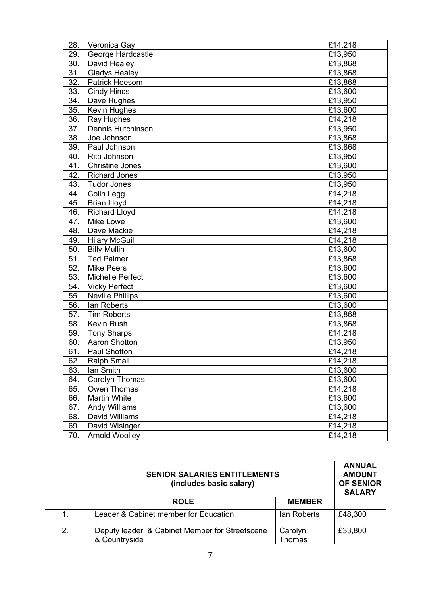| 28.<br>Veronica Gay                     | £14,218               |
|-----------------------------------------|-----------------------|
| George Hardcastle<br>29.                | £13,950               |
| 30.<br>David Healey                     | £13,868               |
| 31.<br><b>Gladys Healey</b>             | £13,868               |
| $\overline{32}$ .<br>Patrick Heesom     | £13,868               |
| 33.<br><b>Cindy Hinds</b>               | £13,600               |
| 34.<br>Dave Hughes                      | £13,950               |
| 35.<br>Kevin Hughes                     | £13,600               |
| 36.<br>Ray Hughes                       | £14,218               |
| 37.<br><b>Dennis Hutchinson</b>         | £13,950               |
| $\overline{38}$ .<br>Joe Johnson        | £13,868               |
| 39.<br>Paul Johnson                     | £13,868               |
| 40.<br>Rita Johnson                     | £13,950               |
| 41.<br><b>Christine Jones</b>           | £13,600               |
| 42.<br><b>Richard Jones</b>             | £13,950               |
| 43.<br><b>Tudor Jones</b>               | £13,950               |
| 44.<br>Colin Legg                       | £14,218               |
| 45.<br><b>Brian Lloyd</b>               | £14,218               |
| 46.<br>Richard Lloyd                    | $\overline{£}$ 14,218 |
| 47.<br><b>Mike Lowe</b>                 | £13,600               |
| 48.<br>Dave Mackie                      | £14,218               |
| 49.<br><b>Hilary McGuill</b>            | £14,218               |
| 50.<br><b>Billy Mullin</b>              | £13,600               |
| $\overline{51}$<br><b>Ted Palmer</b>    | £13,868               |
| $\overline{52.}$<br><b>Mike Peers</b>   | £13,600               |
| 53.<br>Michelle Perfect                 | £13,600               |
| 54.<br><b>Vicky Perfect</b>             | £13,600               |
| 55.<br><b>Neville Phillips</b>          | £13,600               |
| $\overline{56}$ .<br>lan Roberts        | £13,600               |
| $\overline{57}$ .<br><b>Tim Roberts</b> | £13,868               |
| $\overline{58}$ .<br>Kevin Rush         | £13,868               |
| 59.<br><b>Tony Sharps</b>               | £14,218               |
| 60.<br><b>Aaron Shotton</b>             | £13,950               |
| 61.<br><b>Paul Shotton</b>              | £14,218               |
| 62.<br><b>Ralph Small</b>               | £14,218               |
| 63.<br>lan Smith                        | £13,600               |
| 64.<br>Carolyn Thomas                   | £13,600               |
| 65.<br>Owen Thomas                      | £14,218               |
| 66.<br><b>Martin White</b>              | £13,600               |
| 67.<br>Andy Williams                    | £13,600               |
| 68.<br>David Williams                   | £14,218               |
| 69.<br>David Wisinger                   | £14,218               |
| Arnold Woolley<br>70.                   | £14,218               |

|    | <b>SENIOR SALARIES ENTITLEMENTS</b><br>(includes basic salary)  |                          | <b>ANNUAL</b><br><b>AMOUNT</b><br><b>OF SENIOR</b><br><b>SALARY</b> |
|----|-----------------------------------------------------------------|--------------------------|---------------------------------------------------------------------|
|    | <b>ROLE</b>                                                     | <b>MEMBER</b>            |                                                                     |
| 1. | Leader & Cabinet member for Education                           | lan Roberts              | £48,300                                                             |
| 2. | Deputy leader & Cabinet Member for Streetscene<br>& Countryside | Carolyn<br><b>Thomas</b> | £33,800                                                             |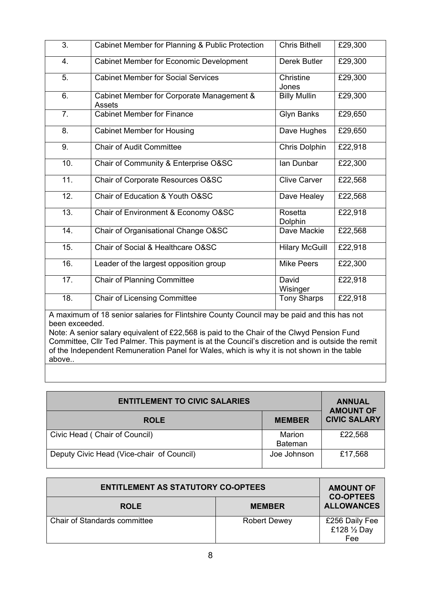| 3.                                                                                                                                                                                                                                                                                                             | Cabinet Member for Planning & Public Protection     | <b>Chris Bithell</b>  | £29,300 |
|----------------------------------------------------------------------------------------------------------------------------------------------------------------------------------------------------------------------------------------------------------------------------------------------------------------|-----------------------------------------------------|-----------------------|---------|
| 4.                                                                                                                                                                                                                                                                                                             | <b>Cabinet Member for Economic Development</b>      | Derek Butler          | £29,300 |
| 5.                                                                                                                                                                                                                                                                                                             | <b>Cabinet Member for Social Services</b>           | Christine<br>Jones    | £29,300 |
| 6.                                                                                                                                                                                                                                                                                                             | Cabinet Member for Corporate Management &<br>Assets | <b>Billy Mullin</b>   | £29,300 |
| 7.                                                                                                                                                                                                                                                                                                             | <b>Cabinet Member for Finance</b>                   | <b>Glyn Banks</b>     | £29,650 |
| 8.                                                                                                                                                                                                                                                                                                             | <b>Cabinet Member for Housing</b>                   | Dave Hughes           | £29,650 |
| 9.                                                                                                                                                                                                                                                                                                             | <b>Chair of Audit Committee</b>                     | <b>Chris Dolphin</b>  | £22,918 |
| $\overline{10}$ .                                                                                                                                                                                                                                                                                              | Chair of Community & Enterprise O&SC                | Ian Dunbar            | £22,300 |
| 11.                                                                                                                                                                                                                                                                                                            | Chair of Corporate Resources O&SC                   | <b>Clive Carver</b>   | £22,568 |
| 12.                                                                                                                                                                                                                                                                                                            | Chair of Education & Youth O&SC                     | Dave Healey           | £22,568 |
| 13.                                                                                                                                                                                                                                                                                                            | Chair of Environment & Economy O&SC                 | Rosetta<br>Dolphin    | £22,918 |
| 14.                                                                                                                                                                                                                                                                                                            | Chair of Organisational Change O&SC                 | Dave Mackie           | £22,568 |
| 15.                                                                                                                                                                                                                                                                                                            | Chair of Social & Healthcare O&SC                   | <b>Hilary McGuill</b> | £22,918 |
| 16.                                                                                                                                                                                                                                                                                                            | Leader of the largest opposition group              | <b>Mike Peers</b>     | £22,300 |
| 17.                                                                                                                                                                                                                                                                                                            | <b>Chair of Planning Committee</b>                  | David<br>Wisinger     | £22,918 |
| 18.                                                                                                                                                                                                                                                                                                            | <b>Chair of Licensing Committee</b>                 | <b>Tony Sharps</b>    | £22,918 |
| A maximum of 18 senior salaries for Flintshire County Council may be paid and this has not<br>been exceeded.<br>Note: A senior salary equivalent of £22,568 is paid to the Chair of the Clwyd Pension Fund<br>Committee, Cllr Ted Palmer. This payment is at the Council's discretion and is outside the remit |                                                     |                       |         |
| of the Independent Remuneration Panel for Wales, which is why it is not shown in the table<br>above                                                                                                                                                                                                            |                                                     |                       |         |

| <b>ENTITLEMENT TO CIVIC SALARIES</b>      | <b>ANNUAL</b><br><b>AMOUNT OF</b> |                     |
|-------------------------------------------|-----------------------------------|---------------------|
| <b>ROLE</b>                               | <b>MEMBER</b>                     | <b>CIVIC SALARY</b> |
| Civic Head (Chair of Council)             | Marion<br><b>Bateman</b>          | £22,568             |
| Deputy Civic Head (Vice-chair of Council) | Joe Johnson                       | £17,568             |

| <b>ENTITLEMENT AS STATUTORY CO-OPTEES</b> |                     | <b>AMOUNT OF</b><br><b>CO-OPTEES</b>  |
|-------------------------------------------|---------------------|---------------------------------------|
| <b>ROLE</b>                               | <b>MEMBER</b>       | <b>ALLOWANCES</b>                     |
| <b>Chair of Standards committee</b>       | <b>Robert Dewey</b> | £256 Daily Fee<br>£128 1/2 Day<br>Fee |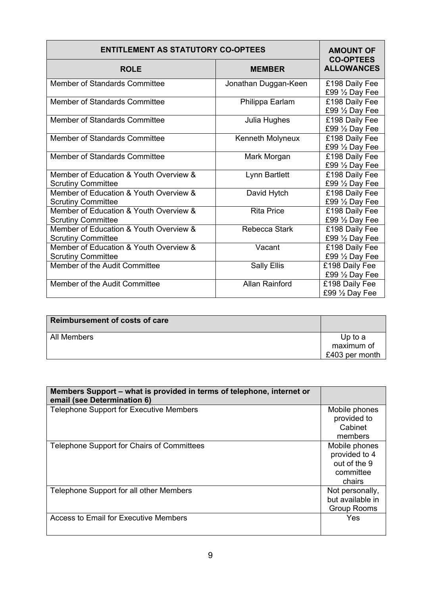| <b>ENTITLEMENT AS STATUTORY CO-OPTEES</b>                           | <b>AMOUNT OF</b><br><b>CO-OPTEES</b> |                                             |
|---------------------------------------------------------------------|--------------------------------------|---------------------------------------------|
| <b>ROLE</b>                                                         | <b>MEMBER</b>                        | <b>ALLOWANCES</b>                           |
| <b>Member of Standards Committee</b>                                | Jonathan Duggan-Keen                 | £198 Daily Fee<br>£99 1/2 Day Fee           |
| <b>Member of Standards Committee</b>                                | Philippa Earlam                      | £198 Daily Fee<br>£99 1/2 Day Fee           |
| <b>Member of Standards Committee</b>                                | Julia Hughes                         | £198 Daily Fee<br>£99 1/2 Day Fee           |
| Member of Standards Committee                                       | Kenneth Molyneux                     | £198 Daily Fee<br>£99 $\frac{1}{2}$ Day Fee |
| <b>Member of Standards Committee</b>                                | Mark Morgan                          | £198 Daily Fee<br>£99 $\frac{1}{2}$ Day Fee |
| Member of Education & Youth Overview &<br><b>Scrutiny Committee</b> | Lynn Bartlett                        | £198 Daily Fee<br>£99 1/2 Day Fee           |
| Member of Education & Youth Overview &<br><b>Scrutiny Committee</b> | David Hytch                          | £198 Daily Fee<br>£99 1/2 Day Fee           |
| Member of Education & Youth Overview &<br><b>Scrutiny Committee</b> | <b>Rita Price</b>                    | £198 Daily Fee<br>£99 $\frac{1}{2}$ Day Fee |
| Member of Education & Youth Overview &<br><b>Scrutiny Committee</b> | <b>Rebecca Stark</b>                 | £198 Daily Fee<br>£99 1/2 Day Fee           |
| Member of Education & Youth Overview &<br><b>Scrutiny Committee</b> | Vacant                               | £198 Daily Fee<br>£99 $\frac{1}{2}$ Day Fee |
| Member of the Audit Committee                                       | <b>Sally Ellis</b>                   | £198 Daily Fee<br>£99 1/2 Day Fee           |
| Member of the Audit Committee                                       | <b>Allan Rainford</b>                | £198 Daily Fee<br>£99 $\frac{1}{2}$ Day Fee |

| <b>Reimbursement of costs of care</b> |                                         |
|---------------------------------------|-----------------------------------------|
| All Members                           | Up to a<br>maximum of<br>£403 per month |

| Members Support – what is provided in terms of telephone, internet or<br>email (see Determination 6) |                    |
|------------------------------------------------------------------------------------------------------|--------------------|
| Telephone Support for Executive Members                                                              | Mobile phones      |
|                                                                                                      | provided to        |
|                                                                                                      | Cabinet            |
|                                                                                                      | members            |
| Telephone Support for Chairs of Committees                                                           | Mobile phones      |
|                                                                                                      | provided to 4      |
|                                                                                                      | out of the 9       |
|                                                                                                      | committee          |
|                                                                                                      | chairs             |
| Telephone Support for all other Members                                                              | Not personally,    |
|                                                                                                      | but available in   |
|                                                                                                      | <b>Group Rooms</b> |
| Access to Email for Executive Members                                                                | Yes                |
|                                                                                                      |                    |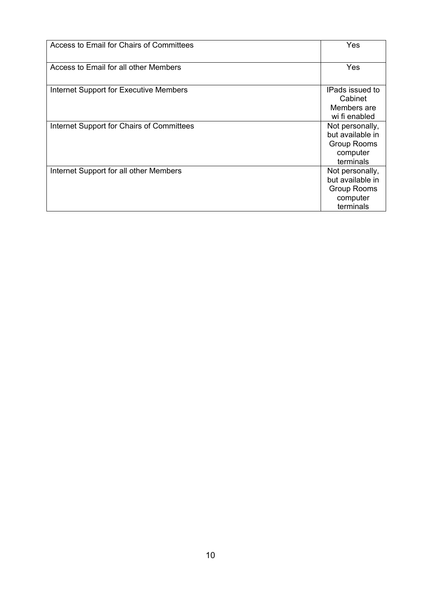| Access to Email for Chairs of Committees  | Yes                                                                                |
|-------------------------------------------|------------------------------------------------------------------------------------|
| Access to Email for all other Members     | Yes                                                                                |
| Internet Support for Executive Members    | IPads issued to<br>Cabinet<br>Members are<br>wi fi enabled                         |
| Internet Support for Chairs of Committees | Not personally,<br>but available in<br><b>Group Rooms</b><br>computer<br>terminals |
| Internet Support for all other Members    | Not personally,<br>but available in<br><b>Group Rooms</b><br>computer<br>terminals |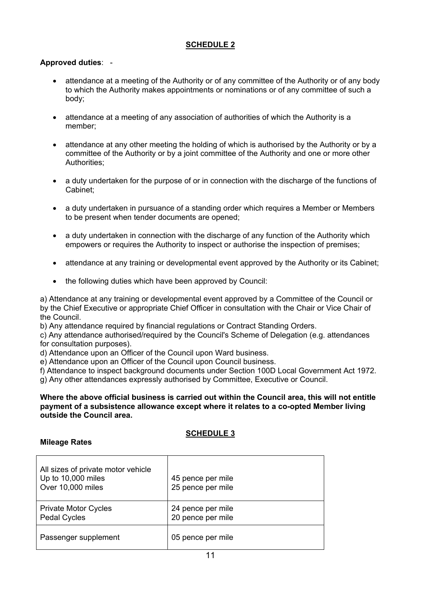# **SCHEDULE 2**

## **Approved duties**: -

- attendance at a meeting of the Authority or of any committee of the Authority or of any body to which the Authority makes appointments or nominations or of any committee of such a body;
- attendance at a meeting of any association of authorities of which the Authority is a member;
- attendance at any other meeting the holding of which is authorised by the Authority or by a committee of the Authority or by a joint committee of the Authority and one or more other Authorities;
- a duty undertaken for the purpose of or in connection with the discharge of the functions of Cabinet;
- a duty undertaken in pursuance of a standing order which requires a Member or Members to be present when tender documents are opened;
- a duty undertaken in connection with the discharge of any function of the Authority which empowers or requires the Authority to inspect or authorise the inspection of premises;
- attendance at any training or developmental event approved by the Authority or its Cabinet;
- the following duties which have been approved by Council:

a) Attendance at any training or developmental event approved by a Committee of the Council or by the Chief Executive or appropriate Chief Officer in consultation with the Chair or Vice Chair of the Council.

b) Any attendance required by financial regulations or Contract Standing Orders.

c) Any attendance authorised/required by the Council's Scheme of Delegation (e.g. attendances for consultation purposes).

d) Attendance upon an Officer of the Council upon Ward business.

e) Attendance upon an Officer of the Council upon Council business.

f) Attendance to inspect background documents under Section 100D Local Government Act 1972.

g) Any other attendances expressly authorised by Committee, Executive or Council.

#### **Where the above official business is carried out within the Council area, this will not entitle payment of a subsistence allowance except where it relates to a co-opted Member living outside the Council area.**

# **SCHEDULE 3**

## **Mileage Rates**

| All sizes of private motor vehicle<br>Up to 10,000 miles<br>Over 10,000 miles | 45 pence per mile<br>25 pence per mile |
|-------------------------------------------------------------------------------|----------------------------------------|
| <b>Private Motor Cycles</b><br><b>Pedal Cycles</b>                            | 24 pence per mile<br>20 pence per mile |
| Passenger supplement                                                          | 05 pence per mile                      |